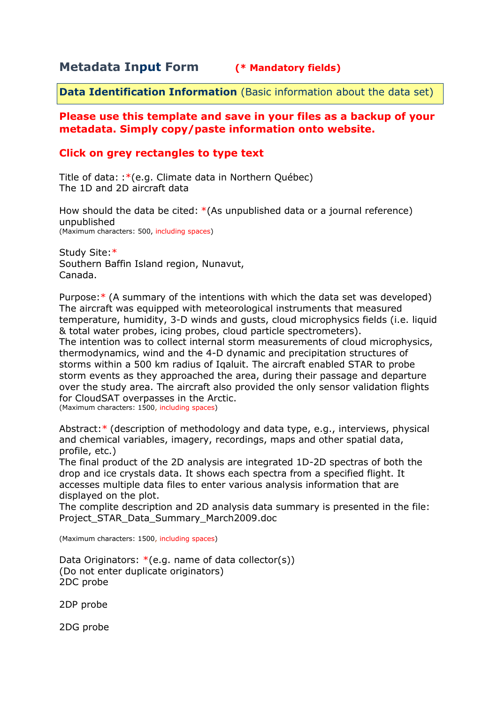## **Metadata Input Form (\* Mandatory fields)**

**Data Identification Information** (Basic information about the data set)

### **Please use this template and save in your files as a backup of your metadata. Simply copy/paste information onto website.**

### **Click on grey rectangles to type text**

Title of data: :\*(e.g. Climate data in Northern Québec) The 1D and 2D aircraft data

How should the data be cited: \*(As unpublished data or a journal reference) unpublished (Maximum characters: 500, including spaces)

Study Site:\* Southern Baffin Island region, Nunavut, Canada.

Purpose:\* (A summary of the intentions with which the data set was developed) The aircraft was equipped with meteorological instruments that measured temperature, humidity, 3-D winds and gusts, cloud microphysics fields (i.e. liquid & total water probes, icing probes, cloud particle spectrometers).

The intention was to collect internal storm measurements of cloud microphysics, thermodynamics, wind and the 4-D dynamic and precipitation structures of storms within a 500 km radius of Iqaluit. The aircraft enabled STAR to probe storm events as they approached the area, during their passage and departure over the study area. The aircraft also provided the only sensor validation flights for CloudSAT overpasses in the Arctic.

(Maximum characters: 1500, including spaces)

Abstract:\* (description of methodology and data type, e.g., interviews, physical and chemical variables, imagery, recordings, maps and other spatial data, profile, etc.)

The final product of the 2D analysis are integrated 1D-2D spectras of both the drop and ice crystals data. It shows each spectra from a specified flight. It accesses multiple data files to enter various analysis information that are displayed on the plot.

The complite description and 2D analysis data summary is presented in the file: Project\_STAR\_Data\_Summary\_March2009.doc

(Maximum characters: 1500, including spaces)

Data Originators:  $*(e.q.$  name of data collector(s)) (Do not enter duplicate originators) 2DC probe

2DP probe

2DG probe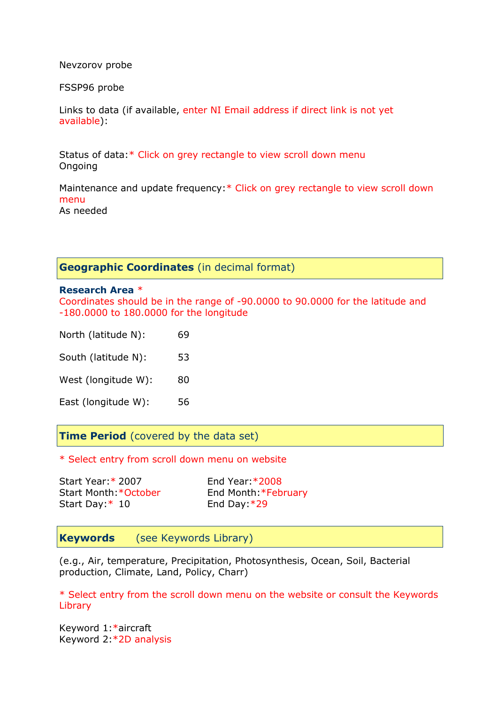Nevzorov probe

FSSP96 probe

Links to data (if available, enter NI Email address if direct link is not yet available):

Status of data:\* Click on grey rectangle to view scroll down menu Ongoing

Maintenance and update frequency:\* Click on grey rectangle to view scroll down menu As needed

**Geographic Coordinates** (in decimal format)

#### **Research Area** \*

Coordinates should be in the range of -90.0000 to 90.0000 for the latitude and -180.0000 to 180.0000 for the longitude

North (latitude N): 69

South (latitude N): 53

West (longitude W): 80

East (longitude W): 56

**Time Period** (covered by the data set)

\* Select entry from scroll down menu on website

| Start Year:* 2007     | End Year: $*2008$     |
|-----------------------|-----------------------|
| Start Month: *October | End Month: * February |
| Start Day: $*$ 10     | End Day: $*29$        |

**Keywords** (see Keywords Library)

(e.g., Air, temperature, Precipitation, Photosynthesis, Ocean, Soil, Bacterial production, Climate, Land, Policy, Charr)

\* Select entry from the scroll down menu on the website or consult the Keywords **Library** 

Keyword 1:\*aircraft Keyword 2:\*2D analysis